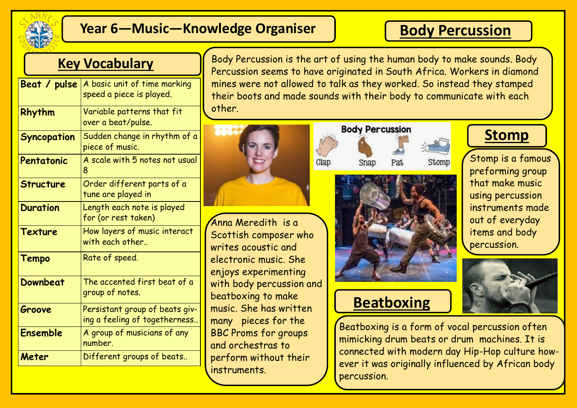

## **Year 6—Music—Knowledge Organiser**

## **Body Percussion**

**Stomp**

Stomp is a famous preforming group that make music using percussion instruments made

out of everyday items and body

percussion.

## **Key Vocabulary**

| Beat / pulse     | A basic unit of time marking<br>speed a piece is played.        |
|------------------|-----------------------------------------------------------------|
| Rhythm           | Variable patterns that fit<br>over a beat/pulse.                |
| Syncopation      | Sudden change in rhythm of a<br>piece of music.                 |
| Pentatonic       | A scale with 5 notes not usual<br>8                             |
| <b>Structure</b> | Order different parts of a<br>tune are played in                |
| <b>Duration</b>  | Length each note is played<br>for (or rest taken)               |
| <b>Texture</b>   | How layers of music interact<br>with each other                 |
| <b>Tempo</b>     | Rate of speed.                                                  |
| Downbeat         | The accented first beat of a<br>group of notes.                 |
| Groove           | Persistant group of beats giv-<br>ing a feeling of togetherness |
| <b>Ensemble</b>  | A group of musicians of any<br>number.                          |
| Meter            | Different groups of beats                                       |

Body Percussion is the art of using the human body to make sounds. Body Percussion seems to have originated in South Africa. Workers in diamond mines were not allowed to talk as they worked. So instead they stamped their boots and made sounds with their body to communicate with each other.



Glap

Anna Meredith is a Scottish composer who writes acoustic and electronic music. She enjoys experimenting with body percussion and beatboxing to make music. She has written many pieces for the BBC Proms for groups and orchestras to perform without their instruments.



Snap





## **Beatboxing**

Beatboxing is a form of vocal percussion often mimicking drum beats or drum machines. It is connected with modern day Hip-Hop culture however it was originally influenced by African body percussion.